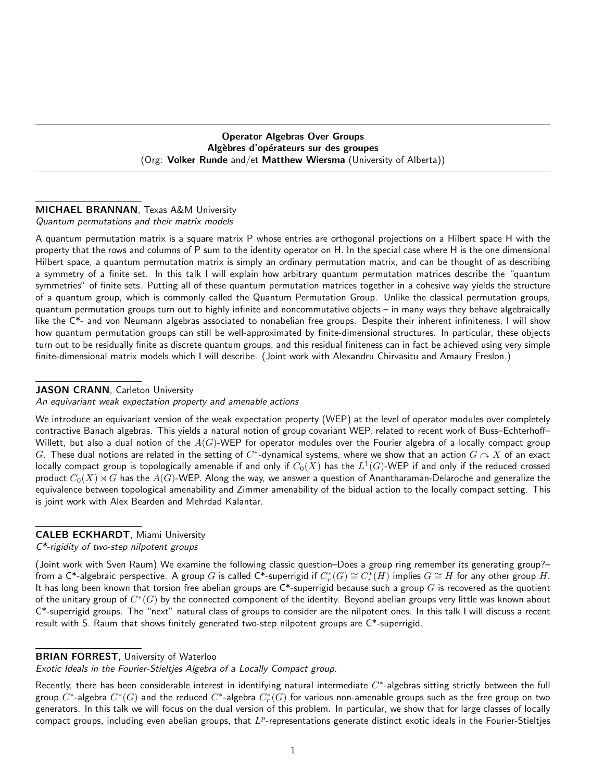Operator Algebras Over Groups Algèbres d'opérateurs sur des groupes (Org: Volker Runde and/et Matthew Wiersma (University of Alberta))

### MICHAEL BRANNAN, Texas A&M University Quantum permutations and their matrix models

A quantum permutation matrix is a square matrix P whose entries are orthogonal projections on a Hilbert space H with the property that the rows and columns of P sum to the identity operator on H. In the special case where H is the one dimensional Hilbert space, a quantum permutation matrix is simply an ordinary permutation matrix, and can be thought of as describing a symmetry of a finite set. In this talk I will explain how arbitrary quantum permutation matrices describe the "quantum symmetries" of finite sets. Putting all of these quantum permutation matrices together in a cohesive way yields the structure of a quantum group, which is commonly called the Quantum Permutation Group. Unlike the classical permutation groups, quantum permutation groups turn out to highly infinite and noncommutative objects – in many ways they behave algebraically like the C\*- and von Neumann algebras associated to nonabelian free groups. Despite their inherent infiniteness, I will show how quantum permutation groups can still be well-approximated by finite-dimensional structures. In particular, these objects turn out to be residually finite as discrete quantum groups, and this residual finiteness can in fact be achieved using very simple finite-dimensional matrix models which I will describe. (Joint work with Alexandru Chirvasitu and Amaury Freslon.)

### JASON CRANN, Carleton University

An equivariant weak expectation property and amenable actions

We introduce an equivariant version of the weak expectation property (WEP) at the level of operator modules over completely contractive Banach algebras. This yields a natural notion of group covariant WEP, related to recent work of Buss–Echterhoff– Willett, but also a dual notion of the  $A(G)$ -WEP for operator modules over the Fourier algebra of a locally compact group  $G.$  These dual notions are related in the setting of  $C^*$ -dynamical systems, where we show that an action  $G \curvearrowright X$  of an exact locally compact group is topologically amenable if and only if  $C_0(X)$  has the  $L^1(G)\text{-}\mathsf{W}\mathsf{E}\mathsf{P}$  if and only if the reduced crossed product  $C_0(X) \rtimes G$  has the  $A(G)$ -WEP. Along the way, we answer a question of Anantharaman-Delaroche and generalize the equivalence between topological amenability and Zimmer amenability of the bidual action to the locally compact setting. This is joint work with Alex Bearden and Mehrdad Kalantar.

## CALEB ECKHARDT, Miami University

C\*-rigidity of two-step nilpotent groups

(Joint work with Sven Raum) We examine the following classic question–Does a group ring remember its generating group?– from a C\*-algebraic perspective. A group  $G$  is called C\*-superrigid if  $C_r^*(G)\cong C_r^*(H)$  implies  $G\cong H$  for any other group  $H.$ It has long been known that torsion free abelian groups are  $C^*$ -superrigid because such a group G is recovered as the quotient of the unitary group of  $C^*(G)$  by the connected component of the identity. Beyond abelian groups very little was known about  $C^*$ -superrigid groups. The "next" natural class of groups to consider are the nilpotent ones. In this talk I will discuss a recent result with S. Raum that shows finitely generated two-step nilpotent groups are C\*-superrigid.

## **BRIAN FORREST**, University of Waterloo

Exotic Ideals in the Fourier-Stieltjes Algebra of a Locally Compact group.

Recently, there has been considerable interest in identifying natural intermediate  $C^*$ -algebras sitting strictly between the full group  $C^*$ -algebra  $C^*(G)$  and the reduced  $C^*$ -algebra  $C_r^*(G)$  for various non-amenable groups such as the free group on two generators. In this talk we will focus on the dual version of this problem. In particular, we show that for large classes of locally compact groups, including even abelian groups, that  $L^p$ -representations generate distinct exotic ideals in the Fourier-Stieltjes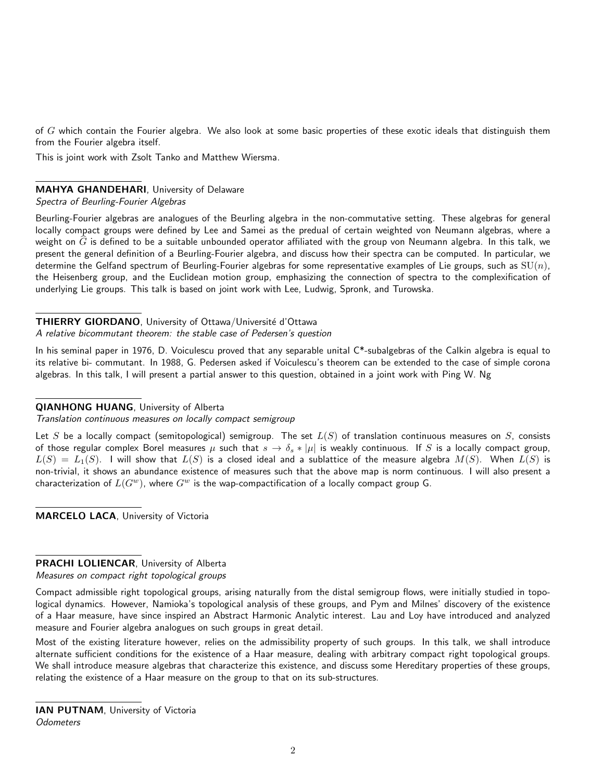of  $G$  which contain the Fourier algebra. We also look at some basic properties of these exotic ideals that distinguish them from the Fourier algebra itself.

This is joint work with Zsolt Tanko and Matthew Wiersma.

# MAHYA GHANDEHARI, University of Delaware

Spectra of Beurling-Fourier Algebras

Beurling-Fourier algebras are analogues of the Beurling algebra in the non-commutative setting. These algebras for general locally compact groups were defined by Lee and Samei as the predual of certain weighted von Neumann algebras, where a weight on  $\hat{G}$  is defined to be a suitable unbounded operator affiliated with the group von Neumann algebra. In this talk, we present the general definition of a Beurling-Fourier algebra, and discuss how their spectra can be computed. In particular, we determine the Gelfand spectrum of Beurling-Fourier algebras for some representative examples of Lie groups, such as  $SU(n)$ , the Heisenberg group, and the Euclidean motion group, emphasizing the connection of spectra to the complexification of underlying Lie groups. This talk is based on joint work with Lee, Ludwig, Spronk, and Turowska.

# THIERRY GIORDANO, University of Ottawa/Université d'Ottawa

A relative bicommutant theorem: the stable case of Pedersen's question

In his seminal paper in 1976, D. Voiculescu proved that any separable unital C\*-subalgebras of the Calkin algebra is equal to its relative bi- commutant. In 1988, G. Pedersen asked if Voiculescu's theorem can be extended to the case of simple corona algebras. In this talk, I will present a partial answer to this question, obtained in a joint work with Ping W. Ng

## QIANHONG HUANG, University of Alberta

Translation continuous measures on locally compact semigroup

Let S be a locally compact (semitopological) semigroup. The set  $L(S)$  of translation continuous measures on S, consists of those regular complex Borel measures  $\mu$  such that  $s \to \delta_s * |\mu|$  is weakly continuous. If S is a locally compact group,  $L(S) = L_1(S)$ . I will show that  $L(S)$  is a closed ideal and a sublattice of the measure algebra  $M(S)$ . When  $L(S)$  is non-trivial, it shows an abundance existence of measures such that the above map is norm continuous. I will also present a characterization of  $L(G^w)$ , where  $G^w$  is the wap-compactification of a locally compact group G.

MARCELO LACA, University of Victoria

## PRACHI LOLIENCAR, University of Alberta

## Measures on compact right topological groups

Compact admissible right topological groups, arising naturally from the distal semigroup flows, were initially studied in topological dynamics. However, Namioka's topological analysis of these groups, and Pym and Milnes' discovery of the existence of a Haar measure, have since inspired an Abstract Harmonic Analytic interest. Lau and Loy have introduced and analyzed measure and Fourier algebra analogues on such groups in great detail.

Most of the existing literature however, relies on the admissibility property of such groups. In this talk, we shall introduce alternate sufficient conditions for the existence of a Haar measure, dealing with arbitrary compact right topological groups. We shall introduce measure algebras that characterize this existence, and discuss some Hereditary properties of these groups, relating the existence of a Haar measure on the group to that on its sub-structures.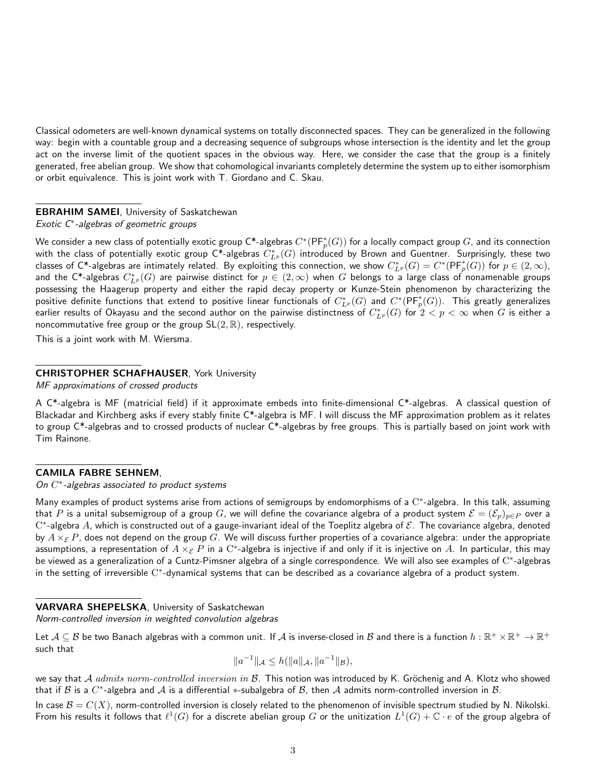Classical odometers are well-known dynamical systems on totally disconnected spaces. They can be generalized in the following way: begin with a countable group and a decreasing sequence of subgroups whose intersection is the identity and let the group act on the inverse limit of the quotient spaces in the obvious way. Here, we consider the case that the group is a finitely generated, free abelian group. We show that cohomological invariants completely determine the system up to either isomorphism or orbit equivalence. This is joint work with T. Giordano and C. Skau.

EBRAHIM SAMEI, University of Saskatchewan Exotic C<sup>∗</sup> -algebras of geometric groups

We consider a new class of potentially exotic group C\*-algebras  $C^*(\mathsf{PF}_p^*(G))$  for a locally compact group  $G$ , and its connection with the class of potentially exotic group C\*-algebras  $C^*_{L^p}(G)$  introduced by Brown and Guentner. Surprisingly, these two classes of C\*-algebras are intimately related. By exploiting this connection, we show  $C^*_{L^p}(G)=C^*(\mathsf{PF}^*_p(G))$  for  $p\in (2,\infty)$ , and the C\*-algebras  $C^*_{L^p}(G)$  are pairwise distinct for  $p\in (2,\infty)$  when  $G$  belongs to a large class of nonamenable groups possessing the Haagerup property and either the rapid decay property or Kunze-Stein phenomenon by characterizing the positive definite functions that extend to positive linear functionals of  $C^*_{L^p}(G)$  and  $C^*(\mathsf{PF}^*_p(G))$ . This greatly generalizes earlier results of Okayasu and the second author on the pairwise distinctness of  $C^*_{L^p}(G)$  for  $2 < p < \infty$  when  $G$  is either a noncommutative free group or the group  $SL(2, \mathbb{R})$ , respectively.

This is a joint work with M. Wiersma.

#### CHRISTOPHER SCHAFHAUSER, York University

MF approximations of crossed products

A  $C^*$ -algebra is MF (matricial field) if it approximate embeds into finite-dimensional  $C^*$ -algebras. A classical question of Blackadar and Kirchberg asks if every stably finite  $C^*$ -algebra is MF. I will discuss the MF approximation problem as it relates to group C\*-algebras and to crossed products of nuclear C\*-algebras by free groups. This is partially based on joint work with Tim Rainone.

#### CAMILA FABRE SEHNEM,

On  $C^*$ -algebras associated to product systems

Many examples of product systems arise from actions of semigroups by endomorphisms of a  $C^*$ -algebra. In this talk, assuming that P is a unital subsemigroup of a group G, we will define the covariance algebra of a product system  $\mathcal{E} = (\mathcal{E}_p)_{p \in P}$  over a  $C^*$ -algebra A, which is constructed out of a gauge-invariant ideal of the Toeplitz algebra of  $\mathcal E$ . The covariance algebra, denoted by  $A\times_{\mathcal{E}} P$ , does not depend on the group G. We will discuss further properties of a covariance algebra: under the appropriate assumptions, a representation of  $A\times_\mathcal{E} P$  in a  $\mathrm{C}^*$ -algebra is injective if and only if it is injective on  $A$ . In particular, this may be viewed as a generalization of a Cuntz-Pimsner algebra of a single correspondence. We will also see examples of  $C^*$ -algebras in the setting of irreversible  $C^*$ -dynamical systems that can be described as a covariance algebra of a product system.

#### VARVARA SHEPELSKA, University of Saskatchewan

Norm-controlled inversion in weighted convolution algebras

Let  $\mathcal A\subseteq\mathcal B$  be two Banach algebras with a common unit. If  $\mathcal A$  is inverse-closed in  $\mathcal B$  and there is a function  $h:\mathbb R^+\times\mathbb R^+\to\mathbb R^+$ such that

$$
||a^{-1}||_{\mathcal{A}} \le h(||a||_{\mathcal{A}}, ||a^{-1}||_{\mathcal{B}}),
$$

we say that A admits norm-controlled inversion in  $B$ . This notion was introduced by K. Gröchenig and A. Klotz who showed that if  $B$  is a  $C^*$ -algebra and  $A$  is a differential  $*$ -subalgebra of  $B$ , then  $A$  admits norm-controlled inversion in  $B$ .

In case  $\mathcal{B} = C(X)$ , norm-controlled inversion is closely related to the phenomenon of invisible spectrum studied by N. Nikolski. From his results it follows that  $\ell^1(G)$  for a discrete abelian group  $G$  or the unitization  $L^1(G)+\mathbb C\cdot e$  of the group algebra of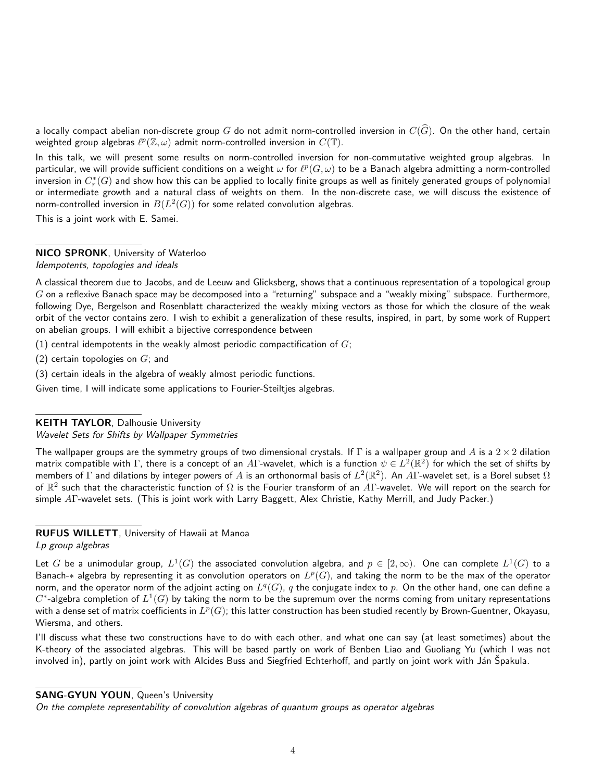a locally compact abelian non-discrete group G do not admit norm-controlled inversion in  $C(\widehat G)$ . On the other hand, certain weighted group algebras  $\ell^p(\mathbb{Z},\omega)$  admit norm-controlled inversion in  $C(\mathbb{T}).$ 

In this talk, we will present some results on norm-controlled inversion for non-commutative weighted group algebras. In particular, we will provide sufficient conditions on a weight  $\omega$  for  $\ell^p(G,\omega)$  to be a Banach algebra admitting a norm-controlled inversion in  $C^*_r(G)$  and show how this can be applied to locally finite groups as well as finitely generated groups of polynomial or intermediate growth and a natural class of weights on them. In the non-discrete case, we will discuss the existence of norm-controlled inversion in  $B(L^2(G))$  for some related convolution algebras.

This is a joint work with E. Samei.

#### NICO SPRONK, University of Waterloo

### Idempotents, topologies and ideals

A classical theorem due to Jacobs, and de Leeuw and Glicksberg, shows that a continuous representation of a topological group  $G$  on a reflexive Banach space may be decomposed into a "returning" subspace and a "weakly mixing" subspace. Furthermore, following Dye, Bergelson and Rosenblatt characterized the weakly mixing vectors as those for which the closure of the weak orbit of the vector contains zero. I wish to exhibit a generalization of these results, inspired, in part, by some work of Ruppert on abelian groups. I will exhibit a bijective correspondence between

(1) central idempotents in the weakly almost periodic compactification of  $G$ ;

(2) certain topologies on  $G$ ; and

(3) certain ideals in the algebra of weakly almost periodic functions.

Given time, I will indicate some applications to Fourier-Steiltjes algebras.

## KEITH TAYLOR, Dalhousie University

Wavelet Sets for Shifts by Wallpaper Symmetries

The wallpaper groups are the symmetry groups of two dimensional crystals. If  $\Gamma$  is a wallpaper group and A is a  $2 \times 2$  dilation matrix compatible with  $\Gamma$ , there is a concept of an  $A\Gamma$ -wavelet, which is a function  $\psi\in L^2(\R^2)$  for which the set of shifts by members of  $\Gamma$  and dilations by integer powers of  $A$  is an orthonormal basis of  $L^2(\Bbb R^2)$ . An  $A\Gamma$ -wavelet set, is a Borel subset  $\Omega$ of  $\R^2$  such that the characteristic function of  $\Omega$  is the Fourier transform of an  $A\Gamma$ -wavelet. We will report on the search for simple AT-wavelet sets. (This is joint work with Larry Baggett, Alex Christie, Kathy Merrill, and Judy Packer.)

### RUFUS WILLETT, University of Hawaii at Manoa

Lp group algebras

Let  $G$  be a unimodular group,  $L^1(G)$  the associated convolution algebra, and  $p\in [2,\infty).$  One can complete  $L^1(G)$  to a Banach- $*$  algebra by representing it as convolution operators on  $L^p(G)$ , and taking the norm to be the max of the operator norm, and the operator norm of the adjoint acting on  $L^q(G)$ ,  $q$  the conjugate index to  $p.$  On the other hand, one can define a  $C^*$ -algebra completion of  $L^1(G)$  by taking the norm to be the supremum over the norms coming from unitary representations with a dense set of matrix coefficients in  $L^p(G)$ ; this latter construction has been studied recently by Brown-Guentner, Okayasu, Wiersma, and others.

I'll discuss what these two constructions have to do with each other, and what one can say (at least sometimes) about the K-theory of the associated algebras. This will be based partly on work of Benben Liao and Guoliang Yu (which I was not involved in), partly on joint work with Alcides Buss and Siegfried Echterhoff, and partly on joint work with Ján Špakula.

### SANG-GYUN YOUN, Queen's University

On the complete representability of convolution algebras of quantum groups as operator algebras